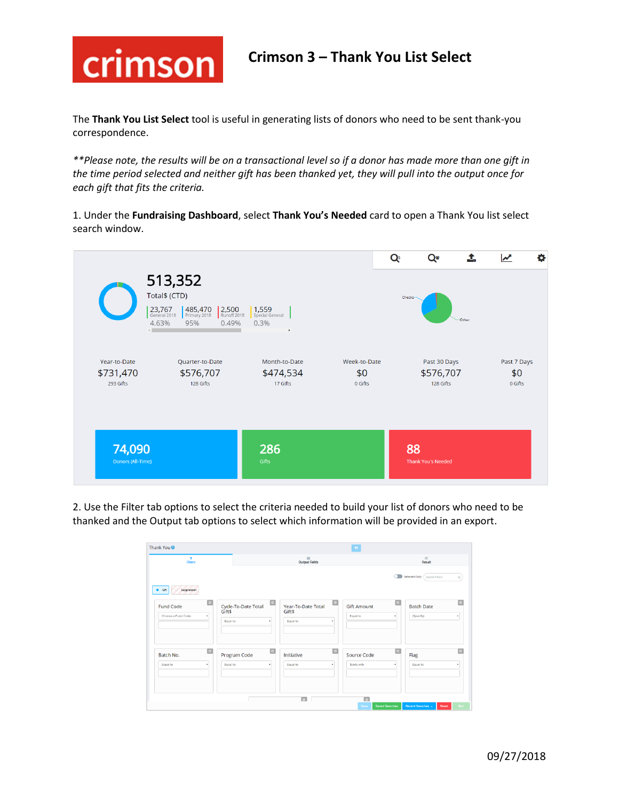

The **Thank You List Select** tool is useful in generating lists of donors who need to be sent thank-you correspondence.

*\*\*Please note, the results will be on a transactional level so if a donor has made more than one gift in the time period selected and neither gift has been thanked yet, they will pull into the output once for each gift that fits the criteria.*

1. Under the **Fundraising Dashboard**, select **Thank You's Needed** card to open a Thank You list select search window.



2. Use the Filter tab options to select the criteria needed to build your list of donors who need to be thanked and the Output tab options to select which information will be provided in an export.

| $\mathbf T$<br><b>Filters</b>                                |                    | $\boldsymbol{\theta}$<br><b>Output Fields</b> |                                                             |                           |                                | $\rm{m}$<br>Result   |                                |                        |
|--------------------------------------------------------------|--------------------|-----------------------------------------------|-------------------------------------------------------------|---------------------------|--------------------------------|----------------------|--------------------------------|------------------------|
| Suppression<br>$\bullet$ Gift                                |                    |                                               |                                                             |                           |                                |                      | Selected Only (Search Filters  | $\alpha$               |
| $  \bullet  $<br><b>Fund Code</b><br>Choose a Fund Code<br>٠ | Gift\$<br>Equal to | Cycle-To-Date Total<br>$\mathbf{r}$           | $\boxed{\circ}$<br>Year-To-Date Total<br>Gift\$<br>Equal to | $\boxed{\circ}$           | <b>Gift Amount</b><br>Equal to | $\boxed{\circ}$      | <b>Batch Date</b><br>(Specify) | $\bullet$<br>$\bullet$ |
| $\bullet$<br>Batch No.<br>Equal to<br>$\cdot$                | Equal to           | $\boxed{\circ}$<br>Program Code<br>$\cdot$    | Initiative<br>Equal to                                      | $\overline{\bullet}$<br>٠ | Source Code<br>Starts with     | $\boxed{\circ}$<br>٠ | Flag<br>Equal to               | $\sim$                 |
|                                                              |                    |                                               | $\boxed{\circ}$<br>ш                                        |                           | $\overline{\bullet}$           |                      |                                |                        |